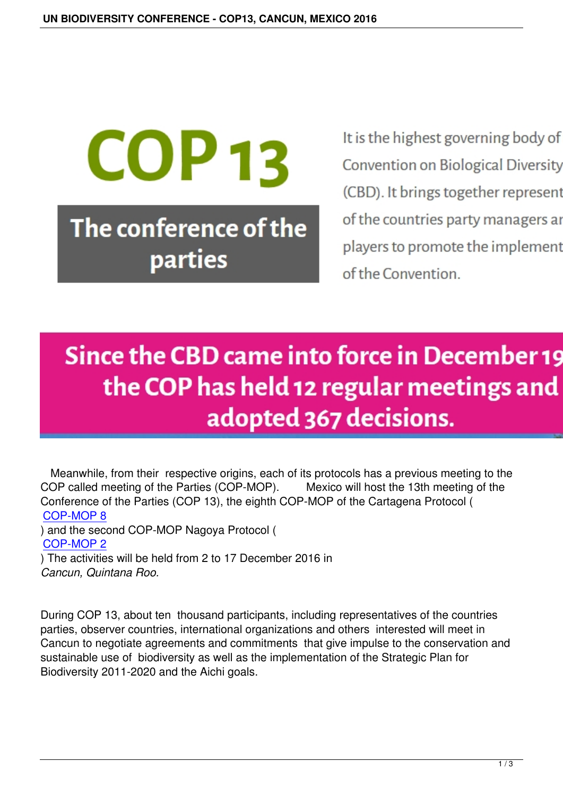# **COP 13** The conference of the parties

It is the highest governing body of the Convention on Biological Diversity (CBD). It brings together representat of the countries party managers and players to promote the implementat of the Convention

## Since the CBD came into force in December 199 the COP has held 12 regular meetings and adopted 367 decisions.

 Meanwhile, from their respective origins, each of its protocols has a previous meeting to the COP called meeting of the Parties (COP-MOP). Mexico will host the 13th meeting of the Conference of the Parties (COP 13), the eighth COP-MOP of the Cartagena Protocol ( COP-MOP 8

) and the second COP-MOP Nagoya Protocol ( COP-MOP 2 [\) The activitie](http://cop13.mx/en/cop-mop-8-cartagena-protocol/)s will be held from 2 to 17 December 2016 in *Cancun, Quintana Roo.*

During COP 13, about ten thousand participants, including representatives of the countries parties, observer countries, international organizations and others interested will meet in Cancun to negotiate agreements and commitments that give impulse to the conservation and sustainable use of biodiversity as well as the implementation of the Strategic Plan for Biodiversity 2011-2020 and the Aichi goals.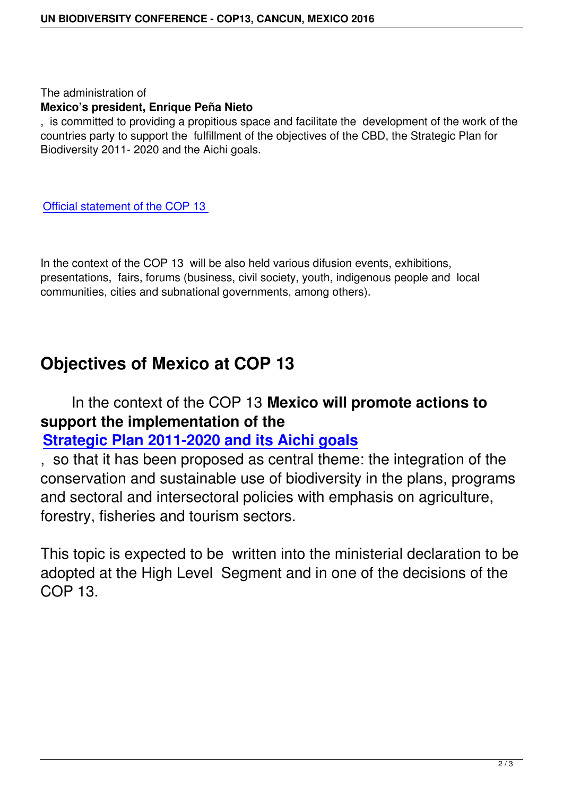#### The administration of **Mexico's president, Enrique Peña Nieto**

, is committed to providing a propitious space and facilitate the development of the work of the countries party to support the fulfillment of the objectives of the CBD, the Strategic Plan for Biodiversity 2011- 2020 and the Aichi goals.

Official statement of the COP 13

[In the context of the COP 13 will b](https://www.cbd.int/doc/?meeting=COP-13)e also held various difusion events, exhibitions, presentations, fairs, forums (business, civil society, youth, indigenous people and local communities, cities and subnational governments, among others).

### **Objectives of Mexico at COP 13**

#### In the context of the COP 13 **Mexico will promote actions to support the implementation of the**

#### **Strategic Plan 2011-2020 and its Aichi goals**

, so that it has been proposed as central theme: the integration of the [conservation and sustainable use of biodiversity](http://cop13.mx/en/convention-on-biological-diversity/) in the plans, programs and sectoral and intersectoral policies with emphasis on agriculture, forestry, fisheries and tourism sectors.

This topic is expected to be written into the ministerial declaration to be adopted at the High Level Segment and in one of the decisions of the COP 13.